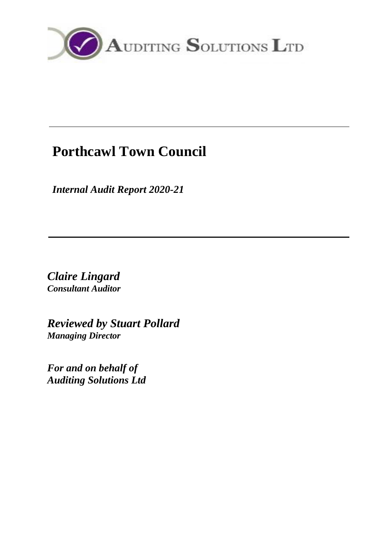

# **Porthcawl Town Council**

*Internal Audit Report 2020-21*

*Claire Lingard Consultant Auditor*

*Reviewed by Stuart Pollard Managing Director*

*For and on behalf of Auditing Solutions Ltd*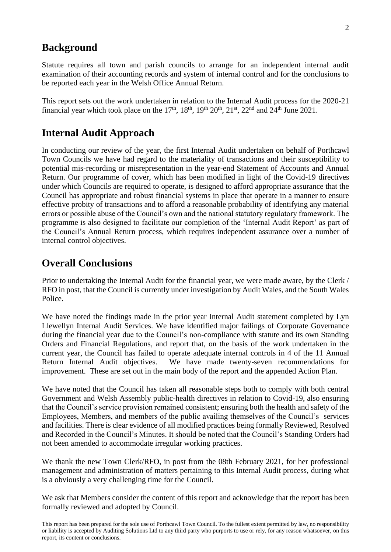# **Background**

Statute requires all town and parish councils to arrange for an independent internal audit examination of their accounting records and system of internal control and for the conclusions to be reported each year in the Welsh Office Annual Return.

This report sets out the work undertaken in relation to the Internal Audit process for the 2020-21 financial year which took place on the 17<sup>th</sup>, 18<sup>th</sup>, 19<sup>th</sup> 20<sup>th</sup>, 21<sup>st</sup>, 22<sup>nd</sup> and 24<sup>th</sup> June 2021.

# **Internal Audit Approach**

In conducting our review of the year, the first Internal Audit undertaken on behalf of Porthcawl Town Councils we have had regard to the materiality of transactions and their susceptibility to potential mis-recording or misrepresentation in the year-end Statement of Accounts and Annual Return. Our programme of cover, which has been modified in light of the Covid-19 directives under which Councils are required to operate, is designed to afford appropriate assurance that the Council has appropriate and robust financial systems in place that operate in a manner to ensure effective probity of transactions and to afford a reasonable probability of identifying any material errors or possible abuse of the Council's own and the national statutory regulatory framework. The programme is also designed to facilitate our completion of the 'Internal Audit Report' as part of the Council's Annual Return process, which requires independent assurance over a number of internal control objectives.

# **Overall Conclusions**

Prior to undertaking the Internal Audit for the financial year, we were made aware, by the Clerk / RFO in post, that the Council is currently under investigation by Audit Wales, and the South Wales Police.

We have noted the findings made in the prior year Internal Audit statement completed by Lyn Llewellyn Internal Audit Services. We have identified major failings of Corporate Governance during the financial year due to the Council's non-compliance with statute and its own Standing Orders and Financial Regulations, and report that, on the basis of the work undertaken in the current year, the Council has failed to operate adequate internal controls in 4 of the 11 Annual Return Internal Audit objectives. We have made twenty-seven recommendations for improvement. These are set out in the main body of the report and the appended Action Plan.

We have noted that the Council has taken all reasonable steps both to comply with both central Government and Welsh Assembly public-health directives in relation to Covid-19, also ensuring that the Council's service provision remained consistent; ensuring both the health and safety of the Employees, Members, and members of the public availing themselves of the Council's services and facilities. There is clear evidence of all modified practices being formally Reviewed, Resolved and Recorded in the Council's Minutes. It should be noted that the Council's Standing Orders had not been amended to accommodate irregular working practices.

We thank the new Town Clerk/RFO, in post from the 08th February 2021, for her professional management and administration of matters pertaining to this Internal Audit process, during what is a obviously a very challenging time for the Council.

We ask that Members consider the content of this report and acknowledge that the report has been formally reviewed and adopted by Council.

This report has been prepared for the sole use of Porthcawl Town Council. To the fullest extent permitted by law, no responsibility or liability is accepted by Auditing Solutions Ltd to any third party who purports to use or rely, for any reason whatsoever, on this report, its content or conclusions.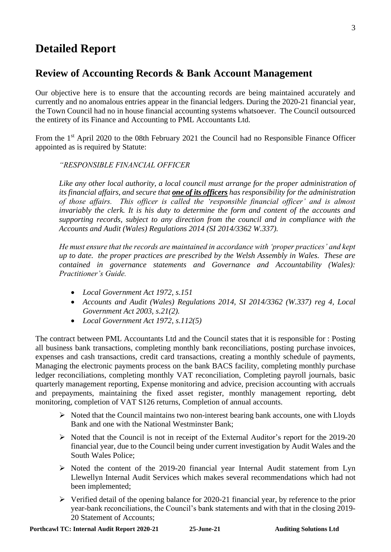# **Detailed Report**

# **Review of Accounting Records & Bank Account Management**

Our objective here is to ensure that the accounting records are being maintained accurately and currently and no anomalous entries appear in the financial ledgers. During the 2020-21 financial year, the Town Council had no in house financial accounting systems whatsoever. The Council outsourced the entirety of its Finance and Accounting to PML Accountants Ltd.

From the 1<sup>st</sup> April 2020 to the 08th February 2021 the Council had no Responsible Finance Officer appointed as is required by Statute:

### *"RESPONSIBLE FINANCIAL OFFICER*

*Like any other local authority, a local council must arrange for the proper administration of its financial affairs, and secure that one of its officers has responsibility for the administration of those affairs. This officer is called the 'responsible financial officer' and is almost invariably the clerk. It is his duty to determine the form and content of the accounts and supporting records, subject to any direction from the council and in compliance with the Accounts and Audit (Wales) Regulations 2014 (SI 2014/3362 W.337).*

*He must ensure that the records are maintained in accordance with 'proper practices' and kept up to date. the proper practices are prescribed by the Welsh Assembly in Wales. These are contained in governance statements and Governance and Accountability (Wales): Practitioner's Guide.*

- *Local Government Act 1972, s.151*
- *Accounts and Audit (Wales) Regulations 2014, SI 2014/3362 (W.337) reg 4, Local Government Act 2003, s.21(2).*
- *Local Government Act 1972, s.112(5)*

The contract between PML Accountants Ltd and the Council states that it is responsible for : Posting all business bank transactions, completing monthly bank reconciliations, posting purchase invoices, expenses and cash transactions, credit card transactions, creating a monthly schedule of payments, Managing the electronic payments process on the bank BACS facility, completing monthly purchase ledger reconciliations, completing monthly VAT reconciliation, Completing payroll journals, basic quarterly management reporting, Expense monitoring and advice, precision accounting with accruals and prepayments, maintaining the fixed asset register, monthly management reporting, debt monitoring, completion of VAT S126 returns, Completion of annual accounts.

- ➢ Noted that the Council maintains two non-interest bearing bank accounts, one with Lloyds Bank and one with the National Westminster Bank;
- $\triangleright$  Noted that the Council is not in receipt of the External Auditor's report for the 2019-20 financial year, due to the Council being under current investigation by Audit Wales and the South Wales Police;
- ➢ Noted the content of the 2019-20 financial year Internal Audit statement from Lyn Llewellyn Internal Audit Services which makes several recommendations which had not been implemented;
- ➢ Verified detail of the opening balance for 2020-21 financial year, by reference to the prior year-bank reconciliations, the Council's bank statements and with that in the closing 2019- 20 Statement of Accounts;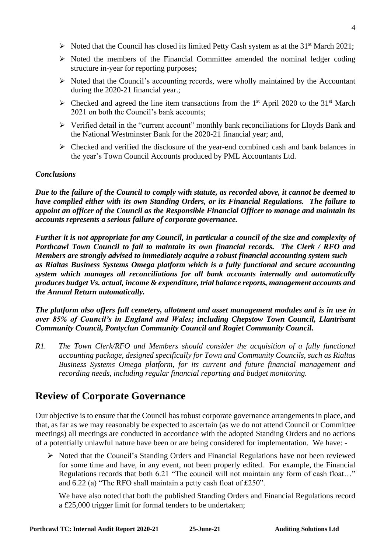- $\triangleright$  Noted that the Council has closed its limited Petty Cash system as at the 31<sup>st</sup> March 2021;
- ➢ Noted the members of the Financial Committee amended the nominal ledger coding structure in-year for reporting purposes;
- ➢ Noted that the Council's accounting records, were wholly maintained by the Accountant during the 2020-21 financial year.;
- $\triangleright$  Checked and agreed the line item transactions from the 1<sup>st</sup> April 2020 to the 31<sup>st</sup> March 2021 on both the Council's bank accounts;
- ➢ Verified detail in the "current account" monthly bank reconciliations for Lloyds Bank and the National Westminster Bank for the 2020-21 financial year; and,
- ➢ Checked and verified the disclosure of the year-end combined cash and bank balances in the year's Town Council Accounts produced by PML Accountants Ltd.

### *Conclusions*

*Due to the failure of the Council to comply with statute, as recorded above, it cannot be deemed to have complied either with its own Standing Orders, or its Financial Regulations. The failure to appoint an officer of the Council as the Responsible Financial Officer to manage and maintain its accounts represents a serious failure of corporate governance.*

*Further it is not appropriate for any Council, in particular a council of the size and complexity of Porthcawl Town Council to fail to maintain its own financial records. The Clerk / RFO and Members are strongly advised to immediately acquire a robust financial accounting system such as Rialtas Business Systems Omega platform which is a fully functional and secure accounting system which manages all reconciliations for all bank accounts internally and automatically produces budget Vs. actual, income & expenditure, trial balance reports, management accounts and the Annual Return automatically.* 

*The platform also offers full cemetery, allotment and asset management modules and is in use in over 85% of Council's in England and Wales; including Chepstow Town Council, Llantrisant Community Council, Pontyclun Community Council and Rogiet Community Council.*

*R1. The Town Clerk/RFO and Members should consider the acquisition of a fully functional accounting package, designed specifically for Town and Community Councils, such as Rialtas Business Systems Omega platform, for its current and future financial management and recording needs, including regular financial reporting and budget monitoring.*

# **Review of Corporate Governance**

Our objective is to ensure that the Council has robust corporate governance arrangements in place, and that, as far as we may reasonably be expected to ascertain (as we do not attend Council or Committee meetings) all meetings are conducted in accordance with the adopted Standing Orders and no actions of a potentially unlawful nature have been or are being considered for implementation. We have: -

➢ Noted that the Council's Standing Orders and Financial Regulations have not been reviewed for some time and have, in any event, not been properly edited. For example, the Financial Regulations records that both 6.21 "The council will not maintain any form of cash float…" and 6.22 (a) "The RFO shall maintain a petty cash float of £250".

We have also noted that both the published Standing Orders and Financial Regulations record a £25,000 trigger limit for formal tenders to be undertaken;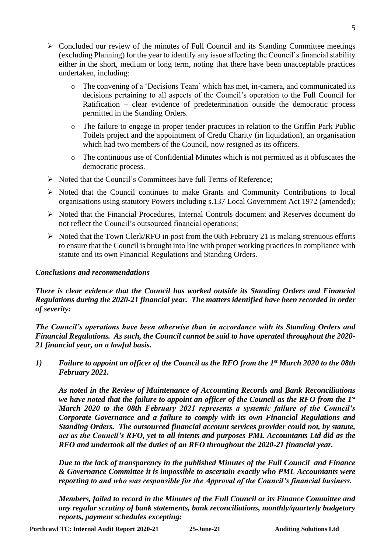- $\triangleright$  Concluded our review of the minutes of Full Council and its Standing Committee meetings (excluding Planning) for the year to identify any issue affecting the Council's financial stability either in the short, medium or long term, noting that there have been unacceptable practices undertaken, including:
	- o The convening of a 'Decisions Team' which has met, in-camera, and communicated its decisions pertaining to all aspects of the Council's operation to the Full Council for Ratification – clear evidence of predetermination outside the democratic process permitted in the Standing Orders.
	- o The failure to engage in proper tender practices in relation to the Griffin Park Public Toilets project and the appointment of Credu Charity (in liquidation), an organisation which had two members of the Council, now resigned as its officers.
	- o The continuous use of Confidential Minutes which is not permitted as it obfuscates the democratic process.
- ➢ Noted that the Council's Committees have full Terms of Reference;
- ➢ Noted that the Council continues to make Grants and Community Contributions to local organisations using statutory Powers including s.137 Local Government Act 1972 (amended);
- ➢ Noted that the Financial Procedures, Internal Controls document and Reserves document do not reflect the Council's outsourced financial operations;
- $\triangleright$  Noted that the Town Clerk/RFO in post from the 08th February 21 is making strenuous efforts to ensure that the Council is brought into line with proper working practices in compliance with statute and its own Financial Regulations and Standing Orders.

#### *Conclusions and recommendations*

*There is clear evidence that the Council has worked outside its Standing Orders and Financial Regulations during the 2020-21 financial year. The matters identified have been recorded in order of severity:*

*The Council's operations have been otherwise than in accordance with its Standing Orders and Financial Regulations. As such, the Council cannot be said to have operated throughout the 2020- 21 financial year, on a lawful basis.*

*1) Failure to appoint an officer of the Council as the RFO from the 1st March 2020 to the 08th February 2021.*

*As noted in the Review of Maintenance of Accounting Records and Bank Reconciliations we have noted that the failure to appoint an officer of the Council as the RFO from the 1st March 2020 to the 08th February 2021 represents a systemic failure of the Council's Corporate Governance and a failure to comply with its own Financial Regulations and Standing Orders. The outsourced financial account services provider could not, by statute, act as the Council's RFO, yet to all intents and purposes PML Accountants Ltd did as the RFO and undertook all the duties of an RFO throughout the 2020-21 financial year.* 

*Due to the lack of transparency in the published Minutes of the Full Council and Finance & Governance Committee it is impossible to ascertain exactly who PML Accountants were reporting to and who was responsible for the Approval of the Council's financial business.*

*Members, failed to record in the Minutes of the Full Council or its Finance Committee and any regular scrutiny of bank statements, bank reconciliations, monthly/quarterly budgetary reports, payment schedules excepting:*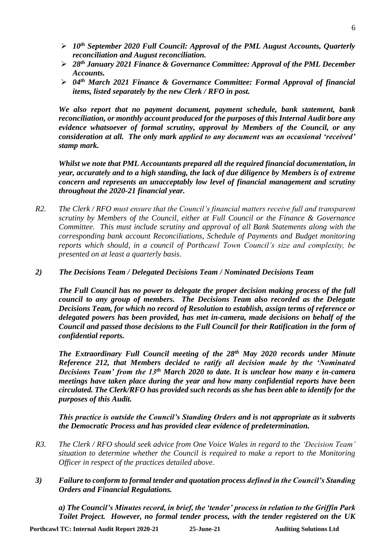- ➢ *10th September 2020 Full Council: Approval of the PML August Accounts, Quarterly reconciliation and August reconciliation.*
- ➢ *28th January 2021 Finance & Governance Committee: Approval of the PML December Accounts.*
- ➢ *04th March 2021 Finance & Governance Committee: Formal Approval of financial items, listed separately by the new Clerk / RFO in post.*

*We also report that no payment document, payment schedule, bank statement, bank reconciliation, or monthly account produced for the purposes of this Internal Audit bore any evidence whatsoever of formal scrutiny, approval by Members of the Council, or any consideration at all. The only mark applied to any document was an occasional 'received' stamp mark.*

*Whilst we note that PML Accountants prepared all the required financial documentation, in year, accurately and to a high standing, the lack of due diligence by Members is of extreme concern and represents an unacceptably low level of financial management and scrutiny throughout the 2020-21 financial year.*

*R2. The Clerk / RFO must ensure that the Council's financial matters receive full and transparent scrutiny by Members of the Council, either at Full Council or the Finance & Governance Committee. This must include scrutiny and approval of all Bank Statements along with the corresponding bank account Reconciliations, Schedule of Payments and Budget monitoring reports which should, in a council of Porthcawl Town Council's size and complexity, be presented on at least a quarterly basis.*

#### *2) The Decisions Team / Delegated Decisions Team / Nominated Decisions Team*

*The Full Council has no power to delegate the proper decision making process of the full council to any group of members. The Decisions Team also recorded as the Delegate Decisions Team, for which no record of Resolution to establish, assign terms of reference or delegated powers has been provided, has met in-camera, made decisions on behalf of the Council and passed those decisions to the Full Council for their Ratification in the form of confidential reports.*

*The Extraordinary Full Council meeting of the 28th May 2020 records under Minute Reference 212, that Members decided to ratify all decision made by the 'Nominated Decisions Team' from the 13th March 2020 to date. It is unclear how many e in-camera meetings have taken place during the year and how many confidential reports have been circulated. The Clerk/RFO has provided such records as she has been able to identify for the purposes of this Audit.* 

*This practice is outside the Council's Standing Orders and is not appropriate as it subverts the Democratic Process and has provided clear evidence of predetermination.*

- *R3. The Clerk / RFO should seek advice from One Voice Wales in regard to the 'Decision Team' situation to determine whether the Council is required to make a report to the Monitoring Officer in respect of the practices detailed above.*
- *3) Failure to conform to formal tender and quotation process defined in the Council's Standing Orders and Financial Regulations.*

*a) The Council's Minutes record, in brief, the 'tender' process in relation to the Griffin Park Toilet Project. However, no formal tender process, with the tender registered on the UK*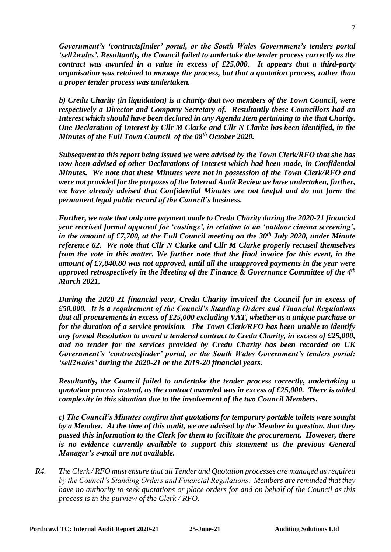*Government's 'contractsfinder' portal, or the South Wales Government's tenders portal 'sell2wales'. Resultantly, the Council failed to undertake the tender process correctly as the contract was awarded in a value in excess of £25,000. It appears that a third-party organisation was retained to manage the process, but that a quotation process, rather than a proper tender process was undertaken.*

*b) Credu Charity (in liquidation) is a charity that two members of the Town Council, were respectively a Director and Company Secretary of. Resultantly these Councillors had an Interest which should have been declared in any Agenda Item pertaining to the that Charity. One Declaration of Interest by Cllr M Clarke and Cllr N Clarke has been identified, in the Minutes of the Full Town Council of the 08th October 2020.*

*Subsequent to this report being issued we were advised by the Town Clerk/RFO that she has now been advised of other Declarations of Interest which had been made, in Confidential Minutes. We note that these Minutes were not in possession of the Town Clerk/RFO and were not provided for the purposes of the Internal Audit Review we have undertaken, further, we have already advised that Confidential Minutes are not lawful and do not form the permanent legal public record of the Council's business.*

*Further, we note that only one payment made to Credu Charity during the 2020-21 financial year received formal approval for 'costings', in relation to an 'outdoor cinema screening', in the amount of £7,700, at the Full Council meeting on the 30th July 2020, under Minute reference 62. We note that Cllr N Clarke and Cllr M Clarke properly recused themselves from the vote in this matter. We further note that the final invoice for this event, in the amount of £7,840.80 was not approved, until all the unapproved payments in the year were approved retrospectively in the Meeting of the Finance & Governance Committee of the 4 th March 2021.*

*During the 2020-21 financial year, Credu Charity invoiced the Council for in excess of £50,000. It is a requirement of the Council's Standing Orders and Financial Regulations that all procurements in excess of £25,000 excluding VAT, whether as a unique purchase or for the duration of a service provision. The Town Clerk/RFO has been unable to identify any formal Resolution to award a tendered contract to Credu Charity, in excess of £25,000, and no tender for the services provided by Credu Charity has been recorded on UK Government's 'contractsfinder' portal, or the South Wales Government's tenders portal: 'sell2wales' during the 2020-21 or the 2019-20 financial years.*

*Resultantly, the Council failed to undertake the tender process correctly, undertaking a quotation process instead, as the contract awarded was in excess of £25,000. There is added complexity in this situation due to the involvement of the two Council Members.*

*c) The Council's Minutes confirm that quotations for temporary portable toilets were sought by a Member. At the time of this audit, we are advised by the Member in question, that they passed this information to the Clerk for them to facilitate the procurement. However, there is no evidence currently available to support this statement as the previous General Manager's e-mail are not available.* 

*R4. The Clerk / RFO must ensure that all Tender and Quotation processes are managed as required by the Council's Standing Orders and Financial Regulations. Members are reminded that they have no authority to seek quotations or place orders for and on behalf of the Council as this process is in the purview of the Clerk / RFO.*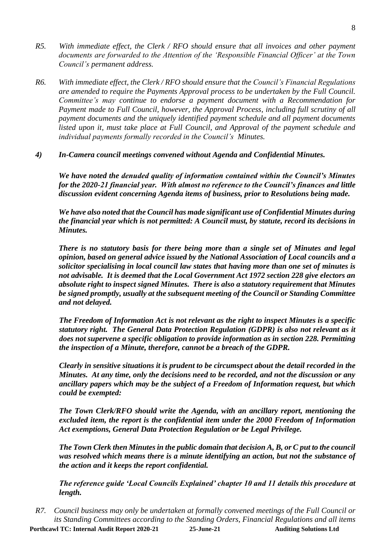- *R5. With immediate effect, the Clerk / RFO should ensure that all invoices and other payment documents are forwarded to the Attention of the 'Responsible Financial Officer' at the Town Council's permanent address.*
- *R6. With immediate effect, the Clerk / RFO should ensure that the Council's Financial Regulations are amended to require the Payments Approval process to be undertaken by the Full Council. Committee's may continue to endorse a payment document with a Recommendation for Payment made to Full Council, however, the Approval Process, including full scrutiny of all payment documents and the uniquely identified payment schedule and all payment documents listed upon it, must take place at Full Council, and Approval of the payment schedule and individual payments formally recorded in the Council's Minutes.*
- *4) In-Camera council meetings convened without Agenda and Confidential Minutes.*

*We have noted the denuded quality of information contained within the Council's Minutes for the 2020-21 financial year. With almost no reference to the Council's finances and little discussion evident concerning Agenda items of business, prior to Resolutions being made.*

*We have also noted that the Council has made significant use of Confidential Minutes during the financial year which is not permitted: A Council must, by statute, record its decisions in Minutes.* 

*There is no statutory basis for there being more than a single set of Minutes and legal opinion, based on general advice issued by the National Association of Local councils and a solicitor specialising in local council law states that having more than one set of minutes is not advisable. It is deemed that the Local Government Act 1972 section 228 give electors an absolute right to inspect signed Minutes. There is also a statutory requirement that Minutes be signed promptly, usually at the subsequent meeting of the Council or Standing Committee and not delayed.*

*The Freedom of Information Act is not relevant as the right to inspect Minutes is a specific statutory right. The General Data Protection Regulation (GDPR) is also not relevant as it does not supervene a specific obligation to provide information as in section 228. Permitting the inspection of a Minute, therefore, cannot be a breach of the GDPR.*

*Clearly in sensitive situations it is prudent to be circumspect about the detail recorded in the Minutes. At any time, only the decisions need to be recorded, and not the discussion or any ancillary papers which may be the subject of a Freedom of Information request, but which could be exempted:*

*The Town Clerk/RFO should write the Agenda, with an ancillary report, mentioning the excluded item, the report is the confidential item under the 2000 Freedom of Information Act exemptions, General Data Protection Regulation or be Legal Privilege.*

*The Town Clerk then Minutes in the public domain that decision A, B, or C put to the council was resolved which means there is a minute identifying an action, but not the substance of the action and it keeps the report confidential.*

*The reference guide 'Local Councils Explained' chapter 10 and 11 details this procedure at length.*

**Porthcawl TC: Internal Audit Report 2020-21 25-June-21 Auditing Solutions Ltd** *R7. Council business may only be undertaken at formally convened meetings of the Full Council or its Standing Committees according to the Standing Orders, Financial Regulations and all items*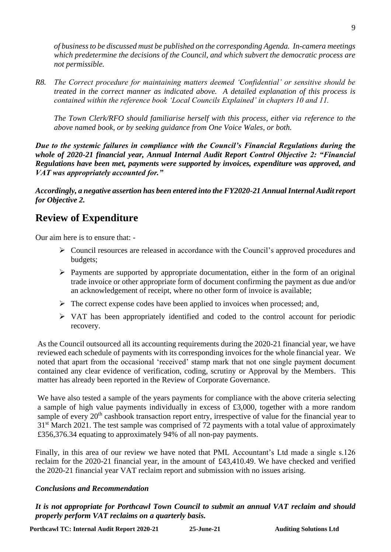*of business to be discussed must be published on the corresponding Agenda. In-camera meetings which predetermine the decisions of the Council, and which subvert the democratic process are not permissible.*

*R8. The Correct procedure for maintaining matters deemed 'Confidential' or sensitive should be treated in the correct manner as indicated above. A detailed explanation of this process is contained within the reference book 'Local Councils Explained' in chapters 10 and 11.* 

*The Town Clerk/RFO should familiarise herself with this process, either via reference to the above named book, or by seeking guidance from One Voice Wales, or both.*

*Due to the systemic failures in compliance with the Council's Financial Regulations during the whole of 2020-21 financial year, Annual Internal Audit Report Control Objective 2: "Financial Regulations have been met, payments were supported by invoices, expenditure was approved, and VAT was appropriately accounted for."*

*Accordingly, a negative assertion has been entered into the FY2020-21 Annual Internal Audit report for Objective 2.*

# **Review of Expenditure**

Our aim here is to ensure that: -

- ➢ Council resources are released in accordance with the Council's approved procedures and budgets;
- ➢ Payments are supported by appropriate documentation, either in the form of an original trade invoice or other appropriate form of document confirming the payment as due and/or an acknowledgement of receipt, where no other form of invoice is available;
- $\triangleright$  The correct expense codes have been applied to invoices when processed; and,
- ➢ VAT has been appropriately identified and coded to the control account for periodic recovery.

As the Council outsourced all its accounting requirements during the 2020-21 financial year, we have reviewed each schedule of payments with its corresponding invoices for the whole financial year. We noted that apart from the occasional 'received' stamp mark that not one single payment document contained any clear evidence of verification, coding, scrutiny or Approval by the Members. This matter has already been reported in the Review of Corporate Governance.

We have also tested a sample of the years payments for compliance with the above criteria selecting a sample of high value payments individually in excess of £3,000, together with a more random sample of every 20<sup>th</sup> cashbook transaction report entry, irrespective of value for the financial year to 31<sup>st</sup> March 2021. The test sample was comprised of 72 payments with a total value of approximately £356,376.34 equating to approximately 94% of all non-pay payments.

Finally, in this area of our review we have noted that PML Accountant's Ltd made a single s.126 reclaim for the 2020-21 financial year, in the amount of £43,410.49. We have checked and verified the 2020-21 financial year VAT reclaim report and submission with no issues arising.

### *Conclusions and Recommendation*

*It is not appropriate for Porthcawl Town Council to submit an annual VAT reclaim and should properly perform VAT reclaims on a quarterly basis.*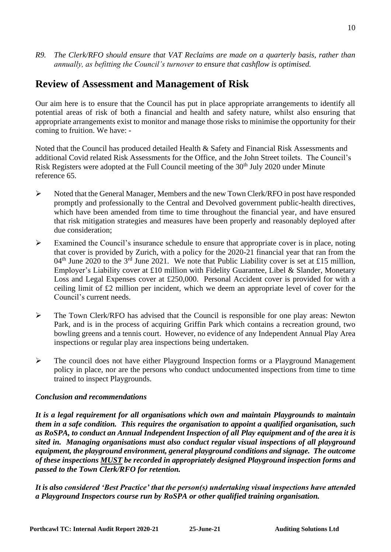*R9. The Clerk/RFO should ensure that VAT Reclaims are made on a quarterly basis, rather than annually, as befitting the Council's turnover to ensure that cashflow is optimised.*

# **Review of Assessment and Management of Risk**

Our aim here is to ensure that the Council has put in place appropriate arrangements to identify all potential areas of risk of both a financial and health and safety nature, whilst also ensuring that appropriate arrangements exist to monitor and manage those risks to minimise the opportunity for their coming to fruition. We have: -

Noted that the Council has produced detailed Health & Safety and Financial Risk Assessments and additional Covid related Risk Assessments for the Office, and the John Street toilets. The Council's Risk Registers were adopted at the Full Council meeting of the 30<sup>th</sup> July 2020 under Minute reference 65.

- ➢ Noted that the General Manager, Members and the new Town Clerk/RFO in post have responded promptly and professionally to the Central and Devolved government public-health directives, which have been amended from time to time throughout the financial year, and have ensured that risk mitigation strategies and measures have been properly and reasonably deployed after due consideration;
- $\triangleright$  Examined the Council's insurance schedule to ensure that appropriate cover is in place, noting that cover is provided by Zurich, with a policy for the 2020-21 financial year that ran from the  $04<sup>th</sup>$  June 2020 to the 3<sup>rd</sup> June 2021. We note that Public Liability cover is set at £15 million, Employer's Liability cover at £10 million with Fidelity Guarantee, Libel & Slander, Monetary Loss and Legal Expenses cover at £250,000. Personal Accident cover is provided for with a ceiling limit of £2 million per incident, which we deem an appropriate level of cover for the Council's current needs.
- $\triangleright$  The Town Clerk/RFO has advised that the Council is responsible for one play areas: Newton Park, and is in the process of acquiring Griffin Park which contains a recreation ground, two bowling greens and a tennis court. However, no evidence of any Independent Annual Play Area inspections or regular play area inspections being undertaken.
- ➢ The council does not have either Playground Inspection forms or a Playground Management policy in place, nor are the persons who conduct undocumented inspections from time to time trained to inspect Playgrounds.

### *Conclusion and recommendations*

*It is a legal requirement for all organisations which own and maintain Playgrounds to maintain them in a safe condition. This requires the organisation to appoint a qualified organisation, such as RoSPA, to conduct an Annual Independent Inspection of all Play equipment and of the area it is sited in. Managing organisations must also conduct regular visual inspections of all playground equipment, the playground environment, general playground conditions and signage. The outcome of these inspections MUST be recorded in appropriately designed Playground inspection forms and passed to the Town Clerk/RFO for retention.*

*It is also considered 'Best Practice' that the person(s) undertaking visual inspections have attended a Playground Inspectors course run by RoSPA or other qualified training organisation.*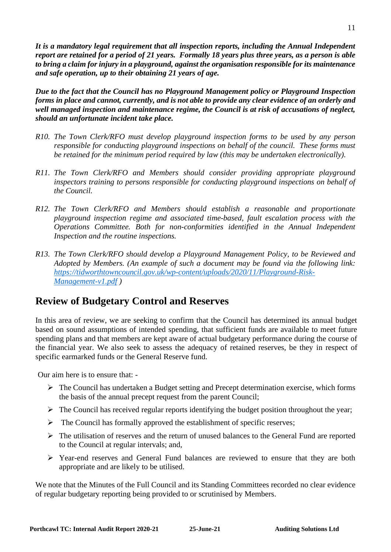*It is a mandatory legal requirement that all inspection reports, including the Annual Independent report are retained for a period of 21 years. Formally 18 years plus three years, as a person is able to bring a claim for injury in a playground, against the organisation responsible for its maintenance and safe operation, up to their obtaining 21 years of age.*

*Due to the fact that the Council has no Playground Management policy or Playground Inspection forms in place and cannot, currently, and is not able to provide any clear evidence of an orderly and well managed inspection and maintenance regime, the Council is at risk of accusations of neglect, should an unfortunate incident take place.* 

- *R10. The Town Clerk/RFO must develop playground inspection forms to be used by any person responsible for conducting playground inspections on behalf of the council. These forms must be retained for the minimum period required by law (this may be undertaken electronically).*
- *R11. The Town Clerk/RFO and Members should consider providing appropriate playground inspectors training to persons responsible for conducting playground inspections on behalf of the Council.*
- *R12. The Town Clerk/RFO and Members should establish a reasonable and proportionate playground inspection regime and associated time-based, fault escalation process with the Operations Committee. Both for non-conformities identified in the Annual Independent Inspection and the routine inspections.*
- *R13. The Town Clerk/RFO should develop a Playground Management Policy, to be Reviewed and Adopted by Members. (An example of such a document may be found via the following link: [https://tidworthtowncouncil.gov.uk/wp-content/uploads/2020/11/Playground-Risk-](https://tidworthtowncouncil.gov.uk/wp-content/uploads/2020/11/Playground-Risk-Management-v1.pdf)[Management-v1.pdf](https://tidworthtowncouncil.gov.uk/wp-content/uploads/2020/11/Playground-Risk-Management-v1.pdf) )*

# **Review of Budgetary Control and Reserves**

In this area of review, we are seeking to confirm that the Council has determined its annual budget based on sound assumptions of intended spending, that sufficient funds are available to meet future spending plans and that members are kept aware of actual budgetary performance during the course of the financial year. We also seek to assess the adequacy of retained reserves, be they in respect of specific earmarked funds or the General Reserve fund.

Our aim here is to ensure that: -

- $\triangleright$  The Council has undertaken a Budget setting and Precept determination exercise, which forms the basis of the annual precept request from the parent Council;
- $\triangleright$  The Council has received regular reports identifying the budget position throughout the year;
- $\triangleright$  The Council has formally approved the establishment of specific reserves;
- $\triangleright$  The utilisation of reserves and the return of unused balances to the General Fund are reported to the Council at regular intervals; and,
- ➢ Year-end reserves and General Fund balances are reviewed to ensure that they are both appropriate and are likely to be utilised.

We note that the Minutes of the Full Council and its Standing Committees recorded no clear evidence of regular budgetary reporting being provided to or scrutinised by Members.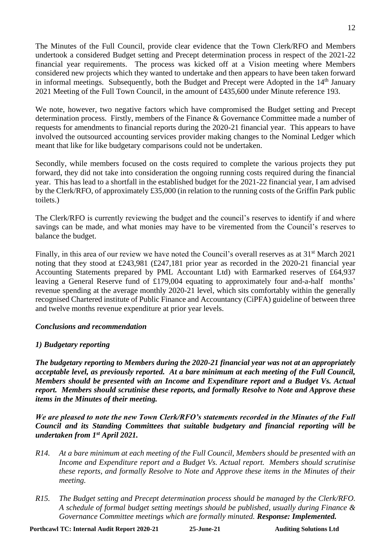The Minutes of the Full Council, provide clear evidence that the Town Clerk/RFO and Members undertook a considered Budget setting and Precept determination process in respect of the 2021-22 financial year requirements. The process was kicked off at a Vision meeting where Members considered new projects which they wanted to undertake and then appears to have been taken forward in informal meetings. Subsequently, both the Budget and Precept were Adopted in the 14<sup>th</sup> January 2021 Meeting of the Full Town Council, in the amount of £435,600 under Minute reference 193.

We note, however, two negative factors which have compromised the Budget setting and Precept determination process. Firstly, members of the Finance & Governance Committee made a number of requests for amendments to financial reports during the 2020-21 financial year. This appears to have involved the outsourced accounting services provider making changes to the Nominal Ledger which meant that like for like budgetary comparisons could not be undertaken.

Secondly, while members focused on the costs required to complete the various projects they put forward, they did not take into consideration the ongoing running costs required during the financial year. This has lead to a shortfall in the established budget for the 2021-22 financial year, I am advised by the Clerk/RFO, of approximately £35,000 (in relation to the running costs of the Griffin Park public toilets.)

The Clerk/RFO is currently reviewing the budget and the council's reserves to identify if and where savings can be made, and what monies may have to be viremented from the Council's reserves to balance the budget.

Finally, in this area of our review we have noted the Council's overall reserves as at 31<sup>st</sup> March 2021 noting that they stood at £243,981 (£247,181 prior year as recorded in the 2020-21 financial year Accounting Statements prepared by PML Accountant Ltd) with Earmarked reserves of £64,937 leaving a General Reserve fund of £179,004 equating to approximately four and-a-half months' revenue spending at the average monthly 2020-21 level, which sits comfortably within the generally recognised Chartered institute of Public Finance and Accountancy (CiPFA) guideline of between three and twelve months revenue expenditure at prior year levels.

#### *Conclusions and recommendation*

### *1) Budgetary reporting*

*The budgetary reporting to Members during the 2020-21 financial year was not at an appropriately acceptable level, as previously reported. At a bare minimum at each meeting of the Full Council, Members should be presented with an Income and Expenditure report and a Budget Vs. Actual report. Members should scrutinise these reports, and formally Resolve to Note and Approve these items in the Minutes of their meeting.*

*We are pleased to note the new Town Clerk/RFO's statements recorded in the Minutes of the Full Council and its Standing Committees that suitable budgetary and financial reporting will be undertaken from 1st April 2021.*

- *R14. At a bare minimum at each meeting of the Full Council, Members should be presented with an Income and Expenditure report and a Budget Vs. Actual report. Members should scrutinise these reports, and formally Resolve to Note and Approve these items in the Minutes of their meeting.*
- *R15. The Budget setting and Precept determination process should be managed by the Clerk/RFO. A schedule of formal budget setting meetings should be published, usually during Finance & Governance Committee meetings which are formally minuted. Response: Implemented.*

12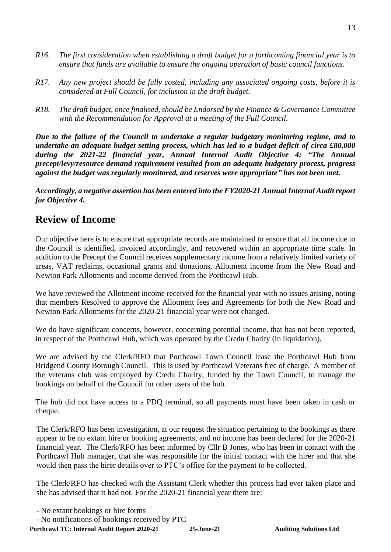- *R16. The first consideration when establishing a draft budget for a forthcoming financial year is to ensure that funds are available to ensure the ongoing operation of basic council functions.*
- *R17. Any new project should be fully costed, including any associated ongoing costs, before it is considered at Full Council, for inclusion in the draft budget.*
- *R18. The draft budget, once finalised, should be Endorsed by the Finance & Governance Committee with the Recommendation for Approval at a meeting of the Full Council.*

*Due to the failure of the Council to undertake a regular budgetary monitoring regime, and to undertake an adequate budget setting process, which has led to a budget deficit of circa £80,000 during the 2021-22 financial year, Annual Internal Audit Objective 4: "The Annual precept/levy/resource demand requirement resulted from an adequate budgetary process, progress against the budget was regularly monitored, and reserves were appropriate" has not been met.*

*Accordingly, a negative assertion has been entered into the FY2020-21 Annual Internal Audit report for Objective 4.*

# **Review of Income**

Our objective here is to ensure that appropriate records are maintained to ensure that all income due to the Council is identified, invoiced accordingly, and recovered within an appropriate time scale. In addition to the Precept the Council receives supplementary income from a relatively limited variety of areas, VAT reclaims, occasional grants and donations, Allotment income from the New Road and Newton Park Allotments and income derived from the Porthcawl Hub.

We have reviewed the Allotment income received for the financial year with no issues arising, noting that members Resolved to approve the Allotment fees and Agreements for both the New Road and Newton Park Allotments for the 2020-21 financial year were not changed.

We do have significant concerns, however, concerning potential income, that has not been reported, in respect of the Porthcawl Hub, which was operated by the Credu Charity (in liquidation).

We are advised by the Clerk/RFO that Porthcawl Town Council lease the Porthcawl Hub from Bridgend County Borough Council. This is used by Porthcawl Veterans free of charge. A member of the veterans club was employed by Credu Charity, funded by the Town Council, to manage the bookings on behalf of the Council for other users of the hub.

The hub did not have access to a PDQ terminal, so all payments must have been taken in cash or cheque.

The Clerk/RFO has been investigation, at our request the situation pertaining to the bookings as there appear to be no extant hire or booking agreements, and no income has been declared for the 2020-21 financial year. The Clerk/RFO has been informed by Cllr B Jones, who has been in contact with the Porthcawl Hub manager, that she was responsible for the initial contact with the hirer and that she would then pass the hirer details over to PTC's office for the payment to be collected.

The Clerk/RFO has checked with the Assistant Clerk whether this process had ever taken place and she has advised that it had not. For the 2020-21 financial year there are:

- No notifications of bookings received by PTC

<sup>-</sup> No extant bookings or hire forms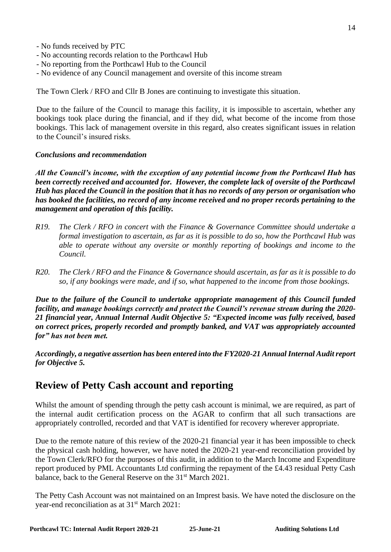- No funds received by PTC
- No accounting records relation to the Porthcawl Hub
- No reporting from the Porthcawl Hub to the Council
- No evidence of any Council management and oversite of this income stream

The Town Clerk / RFO and Cllr B Jones are continuing to investigate this situation.

Due to the failure of the Council to manage this facility, it is impossible to ascertain, whether any bookings took place during the financial, and if they did, what become of the income from those bookings. This lack of management oversite in this regard, also creates significant issues in relation to the Council's insured risks.

#### *Conclusions and recommendation*

*All the Council's income, with the exception of any potential income from the Porthcawl Hub has been correctly received and accounted for. However, the complete lack of oversite of the Porthcawl Hub has placed the Council in the position that it has no records of any person or organisation who has booked the facilities, no record of any income received and no proper records pertaining to the management and operation of this facility.*

- *R19. The Clerk / RFO in concert with the Finance & Governance Committee should undertake a formal investigation to ascertain, as far as it is possible to do so, how the Porthcawl Hub was able to operate without any oversite or monthly reporting of bookings and income to the Council.*
- *R20. The Clerk / RFO and the Finance & Governance should ascertain, as far as it is possible to do so, if any bookings were made, and if so, what happened to the income from those bookings.*

*Due to the failure of the Council to undertake appropriate management of this Council funded facility, and manage bookings correctly and protect the Council's revenue stream during the 2020- 21 financial year, Annual Internal Audit Objective 5: "Expected income was fully received, based on correct prices, properly recorded and promptly banked, and VAT was appropriately accounted for" has not been met.*

*Accordingly, a negative assertion has been entered into the FY2020-21 Annual Internal Audit report for Objective 5.*

# **Review of Petty Cash account and reporting**

Whilst the amount of spending through the petty cash account is minimal, we are required, as part of the internal audit certification process on the AGAR to confirm that all such transactions are appropriately controlled, recorded and that VAT is identified for recovery wherever appropriate.

Due to the remote nature of this review of the 2020-21 financial year it has been impossible to check the physical cash holding, however, we have noted the 2020-21 year-end reconciliation provided by the Town Clerk/RFO for the purposes of this audit, in addition to the March Income and Expenditure report produced by PML Accountants Ltd confirming the repayment of the £4.43 residual Petty Cash balance, back to the General Reserve on the 31<sup>st</sup> March 2021.

The Petty Cash Account was not maintained on an Imprest basis. We have noted the disclosure on the year-end reconciliation as at 31<sup>st</sup> March 2021: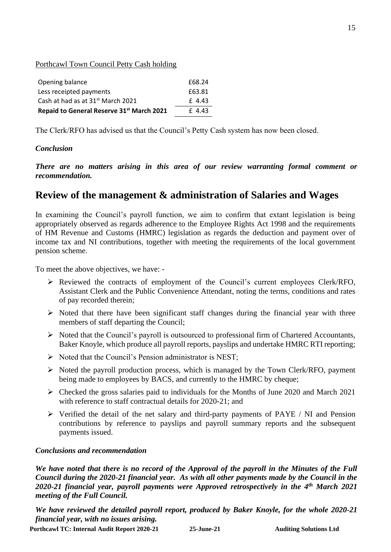Porthcawl Town Council Petty Cash holding

| Opening balance                               | £68.24 |
|-----------------------------------------------|--------|
| Less receipted payments                       | £63.81 |
| Cash at had as at 31 <sup>st</sup> March 2021 | £4.43  |
| Repaid to General Reserve 31st March 2021     | £4.43  |

The Clerk/RFO has advised us that the Council's Petty Cash system has now been closed.

### *Conclusion*

*There are no matters arising in this area of our review warranting formal comment or recommendation.*

# **Review of the management & administration of Salaries and Wages**

In examining the Council's payroll function, we aim to confirm that extant legislation is being appropriately observed as regards adherence to the Employee Rights Act 1998 and the requirements of HM Revenue and Customs (HMRC) legislation as regards the deduction and payment over of income tax and NI contributions, together with meeting the requirements of the local government pension scheme.

To meet the above objectives, we have: -

- ➢ Reviewed the contracts of employment of the Council's current employees Clerk/RFO, Assistant Clerk and the Public Convenience Attendant, noting the terms, conditions and rates of pay recorded therein;
- $\triangleright$  Noted that there have been significant staff changes during the financial year with three members of staff departing the Council;
- ➢ Noted that the Council's payroll is outsourced to professional firm of Chartered Accountants, Baker Knoyle, which produce all payroll reports, payslips and undertake HMRC RTI reporting;
- $\triangleright$  Noted that the Council's Pension administrator is NEST;
- ➢ Noted the payroll production process, which is managed by the Town Clerk/RFO, payment being made to employees by BACS, and currently to the HMRC by cheque;
- ➢ Checked the gross salaries paid to individuals for the Months of June 2020 and March 2021 with reference to staff contractual details for 2020-21; and
- ➢ Verified the detail of the net salary and third-party payments of PAYE / NI and Pension contributions by reference to payslips and payroll summary reports and the subsequent payments issued.

### *Conclusions and recommendation*

*We have noted that there is no record of the Approval of the payroll in the Minutes of the Full Council during the 2020-21 financial year. As with all other payments made by the Council in the 2020-21 financial year, payroll payments were Approved retrospectively in the 4th March 2021 meeting of the Full Council.* 

*We have reviewed the detailed payroll report, produced by Baker Knoyle, for the whole 2020-21 financial year, with no issues arising.*

**Porthcawl TC: Internal Audit Report 2020-21 25-June-21 Auditing Solutions Ltd**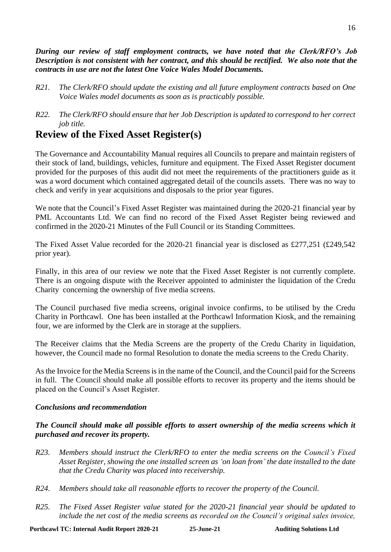*During our review of staff employment contracts, we have noted that the Clerk/RFO's Job Description is not consistent with her contract, and this should be rectified. We also note that the contracts in use are not the latest One Voice Wales Model Documents.*

- *R21. The Clerk/RFO should update the existing and all future employment contracts based on One Voice Wales model documents as soon as is practicably possible.*
- *R22. The Clerk/RFO should ensure that her Job Description is updated to correspond to her correct job title.*

# **Review of the Fixed Asset Register(s)**

The Governance and Accountability Manual requires all Councils to prepare and maintain registers of their stock of land, buildings, vehicles, furniture and equipment. The Fixed Asset Register document provided for the purposes of this audit did not meet the requirements of the practitioners guide as it was a word document which contained aggregated detail of the councils assets. There was no way to check and verify in year acquisitions and disposals to the prior year figures.

We note that the Council's Fixed Asset Register was maintained during the 2020-21 financial year by PML Accountants Ltd. We can find no record of the Fixed Asset Register being reviewed and confirmed in the 2020-21 Minutes of the Full Council or its Standing Committees.

The Fixed Asset Value recorded for the 2020-21 financial year is disclosed as £277,251 (£249,542 prior year).

Finally, in this area of our review we note that the Fixed Asset Register is not currently complete. There is an ongoing dispute with the Receiver appointed to administer the liquidation of the Credu Charity concerning the ownership of five media screens.

The Council purchased five media screens, original invoice confirms, to be utilised by the Credu Charity in Porthcawl. One has been installed at the Porthcawl Information Kiosk, and the remaining four, we are informed by the Clerk are in storage at the suppliers.

The Receiver claims that the Media Screens are the property of the Credu Charity in liquidation, however, the Council made no formal Resolution to donate the media screens to the Credu Charity.

As the Invoice for the Media Screens is in the name of the Council, and the Council paid for the Screens in full. The Council should make all possible efforts to recover its property and the items should be placed on the Council's Asset Register.

### *Conclusions and recommendation*

### *The Council should make all possible efforts to assert ownership of the media screens which it purchased and recover its property.*

- *R23. Members should instruct the Clerk/RFO to enter the media screens on the Council's Fixed Asset Register, showing the one installed screen as 'on loan from' the date installed to the date that the Credu Charity was placed into receivership.*
- *R24. Members should take all reasonable efforts to recover the property of the Council.*
- *R25. The Fixed Asset Register value stated for the 2020-21 financial year should be updated to include the net cost of the media screens as recorded on the Council's original sales invoice,*

16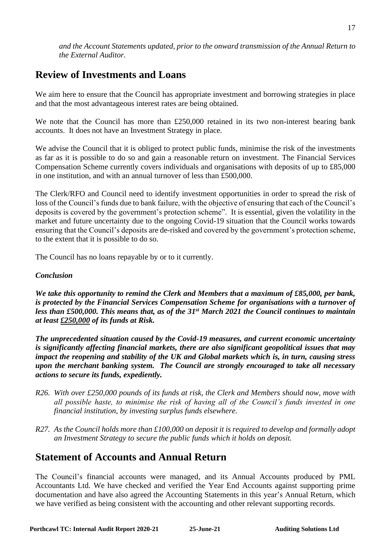*and the Account Statements updated, prior to the onward transmission of the Annual Return to the External Auditor.*

# **Review of Investments and Loans**

We aim here to ensure that the Council has appropriate investment and borrowing strategies in place and that the most advantageous interest rates are being obtained.

We note that the Council has more than £250,000 retained in its two non-interest bearing bank accounts. It does not have an Investment Strategy in place.

We advise the Council that it is obliged to protect public funds, minimise the risk of the investments as far as it is possible to do so and gain a reasonable return on investment. The Financial Services Compensation Scheme currently covers individuals and organisations with deposits of up to £85,000 in one institution, and with an annual turnover of less than £500,000.

The Clerk/RFO and Council need to identify investment opportunities in order to spread the risk of loss of the Council's funds due to bank failure, with the objective of ensuring that each of the Council's deposits is covered by the government's protection scheme". It is essential, given the volatility in the market and future uncertainty due to the ongoing Covid-19 situation that the Council works towards ensuring that the Council's deposits are de-risked and covered by the government's protection scheme, to the extent that it is possible to do so.

The Council has no loans repayable by or to it currently.

#### *Conclusion*

*We take this opportunity to remind the Clerk and Members that a maximum of £85,000, per bank, is protected by the Financial Services Compensation Scheme for organisations with a turnover of*  less than £500,000. This means that, as of the 31<sup>st</sup> March 2021 the Council continues to maintain *at least £250,000 of its funds at Risk.* 

*The unprecedented situation caused by the Covid-19 measures, and current economic uncertainty is significantly affecting financial markets, there are also significant geopolitical issues that may impact the reopening and stability of the UK and Global markets which is, in turn, causing stress upon the merchant banking system. The Council are strongly encouraged to take all necessary actions to secure its funds, expediently.*

- *R26. With over £250,000 pounds of its funds at risk, the Clerk and Members should now, move with all possible haste, to minimise the risk of having all of the Council's funds invested in one financial institution, by investing surplus funds elsewhere.*
- *R27. As the Council holds more than £100,000 on deposit it is required to develop and formally adopt an Investment Strategy to secure the public funds which it holds on deposit.*

# **Statement of Accounts and Annual Return**

The Council's financial accounts were managed, and its Annual Accounts produced by PML Accountants Ltd. We have checked and verified the Year End Accounts against supporting prime documentation and have also agreed the Accounting Statements in this year's Annual Return, which we have verified as being consistent with the accounting and other relevant supporting records.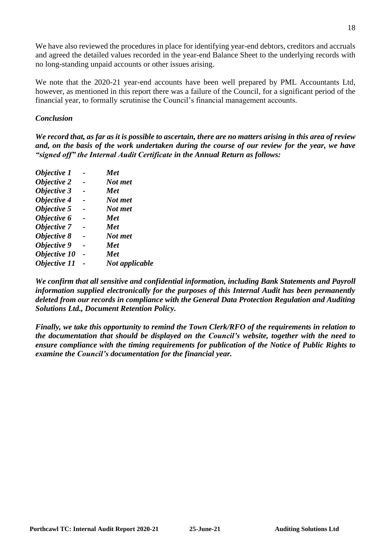We have also reviewed the procedures in place for identifying year-end debtors, creditors and accruals and agreed the detailed values recorded in the year-end Balance Sheet to the underlying records with no long-standing unpaid accounts or other issues arising.

We note that the 2020-21 year-end accounts have been well prepared by PML Accountants Ltd, however, as mentioned in this report there was a failure of the Council, for a significant period of the financial year, to formally scrutinise the Council's financial management accounts.

#### *Conclusion*

*We record that, as far as it is possible to ascertain, there are no matters arising in this area of review and, on the basis of the work undertaken during the course of our review for the year, we have "signed off" the Internal Audit Certificate in the Annual Return as follows:*

| Objective 1        | Met            |
|--------------------|----------------|
| Objective 2        | Not met        |
| Objective 3        | <b>Met</b>     |
| Objective 4        | Not met        |
| Objective 5        | Not met        |
| Objective 6        | <b>Met</b>     |
| <b>Objective 7</b> | <b>Met</b>     |
| Objective 8        | Not met        |
| Objective 9        | <b>Met</b>     |
| Objective 10       | <b>Met</b>     |
| Objective 11       | Not applicable |
|                    |                |

*We confirm that all sensitive and confidential information, including Bank Statements and Payroll information supplied electronically for the purposes of this Internal Audit has been permanently deleted from our records in compliance with the General Data Protection Regulation and Auditing Solutions Ltd., Document Retention Policy.*

*Finally, we take this opportunity to remind the Town Clerk/RFO of the requirements in relation to the documentation that should be displayed on the Council's website, together with the need to ensure compliance with the timing requirements for publication of the Notice of Public Rights to examine the Council's documentation for the financial year.*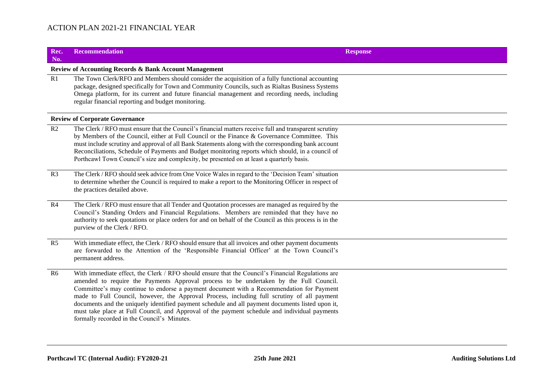| Rec.<br>No.    | <b>Recommendation</b>                                                                                                                                                                                                                                                                                                                                                                                                                                                                                                                                                                                                                      | <b>Response</b> |
|----------------|--------------------------------------------------------------------------------------------------------------------------------------------------------------------------------------------------------------------------------------------------------------------------------------------------------------------------------------------------------------------------------------------------------------------------------------------------------------------------------------------------------------------------------------------------------------------------------------------------------------------------------------------|-----------------|
|                | <b>Review of Accounting Records &amp; Bank Account Management</b>                                                                                                                                                                                                                                                                                                                                                                                                                                                                                                                                                                          |                 |
| R1             | The Town Clerk/RFO and Members should consider the acquisition of a fully functional accounting<br>package, designed specifically for Town and Community Councils, such as Rialtas Business Systems<br>Omega platform, for its current and future financial management and recording needs, including<br>regular financial reporting and budget monitoring.                                                                                                                                                                                                                                                                                |                 |
|                | <b>Review of Corporate Governance</b>                                                                                                                                                                                                                                                                                                                                                                                                                                                                                                                                                                                                      |                 |
| R2             | The Clerk / RFO must ensure that the Council's financial matters receive full and transparent scrutiny<br>by Members of the Council, either at Full Council or the Finance & Governance Committee. This<br>must include scrutiny and approval of all Bank Statements along with the corresponding bank account<br>Reconciliations, Schedule of Payments and Budget monitoring reports which should, in a council of<br>Porthcawl Town Council's size and complexity, be presented on at least a quarterly basis.                                                                                                                           |                 |
| R <sub>3</sub> | The Clerk / RFO should seek advice from One Voice Wales in regard to the 'Decision Team' situation<br>to determine whether the Council is required to make a report to the Monitoring Officer in respect of<br>the practices detailed above.                                                                                                                                                                                                                                                                                                                                                                                               |                 |
| R4             | The Clerk / RFO must ensure that all Tender and Quotation processes are managed as required by the<br>Council's Standing Orders and Financial Regulations. Members are reminded that they have no<br>authority to seek quotations or place orders for and on behalf of the Council as this process is in the<br>purview of the Clerk / RFO.                                                                                                                                                                                                                                                                                                |                 |
| R5             | With immediate effect, the Clerk / RFO should ensure that all invoices and other payment documents<br>are forwarded to the Attention of the 'Responsible Financial Officer' at the Town Council's<br>permanent address.                                                                                                                                                                                                                                                                                                                                                                                                                    |                 |
| R <sub>6</sub> | With immediate effect, the Clerk / RFO should ensure that the Council's Financial Regulations are<br>amended to require the Payments Approval process to be undertaken by the Full Council.<br>Committee's may continue to endorse a payment document with a Recommendation for Payment<br>made to Full Council, however, the Approval Process, including full scrutiny of all payment<br>documents and the uniquely identified payment schedule and all payment documents listed upon it,<br>must take place at Full Council, and Approval of the payment schedule and individual payments<br>formally recorded in the Council's Minutes. |                 |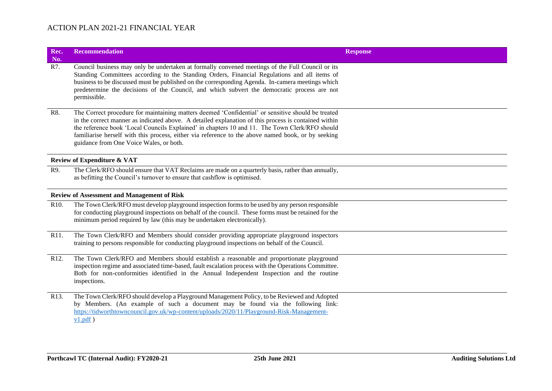| Rec.<br>No.       | <b>Recommendation</b>                                                                                                                                                                                                                                                                                                                                                                                                                                         | <b>Response</b> |
|-------------------|---------------------------------------------------------------------------------------------------------------------------------------------------------------------------------------------------------------------------------------------------------------------------------------------------------------------------------------------------------------------------------------------------------------------------------------------------------------|-----------------|
| R7.               | Council business may only be undertaken at formally convened meetings of the Full Council or its<br>Standing Committees according to the Standing Orders, Financial Regulations and all items of<br>business to be discussed must be published on the corresponding Agenda. In-camera meetings which<br>predetermine the decisions of the Council, and which subvert the democratic process are not<br>permissible.                                           |                 |
| R8.               | The Correct procedure for maintaining matters deemed 'Confidential' or sensitive should be treated<br>in the correct manner as indicated above. A detailed explanation of this process is contained within<br>the reference book 'Local Councils Explained' in chapters 10 and 11. The Town Clerk/RFO should<br>familiarise herself with this process, either via reference to the above named book, or by seeking<br>guidance from One Voice Wales, or both. |                 |
|                   | <b>Review of Expenditure &amp; VAT</b>                                                                                                                                                                                                                                                                                                                                                                                                                        |                 |
| R9.               | The Clerk/RFO should ensure that VAT Reclaims are made on a quarterly basis, rather than annually,<br>as befitting the Council's turnover to ensure that cashflow is optimised.                                                                                                                                                                                                                                                                               |                 |
|                   | <b>Review of Assessment and Management of Risk</b>                                                                                                                                                                                                                                                                                                                                                                                                            |                 |
| R <sub>10</sub> . | The Town Clerk/RFO must develop playground inspection forms to be used by any person responsible<br>for conducting playground inspections on behalf of the council. These forms must be retained for the<br>minimum period required by law (this may be undertaken electronically).                                                                                                                                                                           |                 |
| R <sub>11</sub> . | The Town Clerk/RFO and Members should consider providing appropriate playground inspectors<br>training to persons responsible for conducting playground inspections on behalf of the Council.                                                                                                                                                                                                                                                                 |                 |
| R <sub>12</sub> . | The Town Clerk/RFO and Members should establish a reasonable and proportionate playground<br>inspection regime and associated time-based, fault escalation process with the Operations Committee.<br>Both for non-conformities identified in the Annual Independent Inspection and the routine<br>inspections.                                                                                                                                                |                 |
| R <sub>13</sub> . | The Town Clerk/RFO should develop a Playground Management Policy, to be Reviewed and Adopted<br>by Members. (An example of such a document may be found via the following link:<br>https://tidworthtowncouncil.gov.uk/wp-content/uploads/2020/11/Playground-Risk-Management-<br>$v1.pdf$ )                                                                                                                                                                    |                 |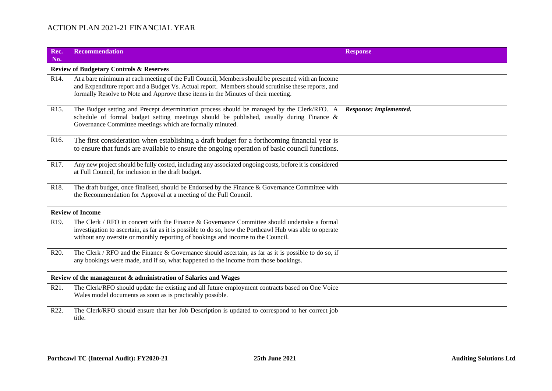| Rec.<br>No.                                                     | <b>Recommendation</b>                                                                                                                                                                                                                                                                         | <b>Response</b>        |  |  |
|-----------------------------------------------------------------|-----------------------------------------------------------------------------------------------------------------------------------------------------------------------------------------------------------------------------------------------------------------------------------------------|------------------------|--|--|
|                                                                 | <b>Review of Budgetary Controls &amp; Reserves</b>                                                                                                                                                                                                                                            |                        |  |  |
| R <sub>14</sub> .                                               | At a bare minimum at each meeting of the Full Council, Members should be presented with an Income<br>and Expenditure report and a Budget Vs. Actual report. Members should scrutinise these reports, and<br>formally Resolve to Note and Approve these items in the Minutes of their meeting. |                        |  |  |
| R <sub>15</sub> .                                               | The Budget setting and Precept determination process should be managed by the Clerk/RFO. A<br>schedule of formal budget setting meetings should be published, usually during Finance $\&$<br>Governance Committee meetings which are formally minuted.                                        | Response: Implemented. |  |  |
| R <sub>16</sub> .                                               | The first consideration when establishing a draft budget for a forthcoming financial year is<br>to ensure that funds are available to ensure the ongoing operation of basic council functions.                                                                                                |                        |  |  |
| R17.                                                            | Any new project should be fully costed, including any associated ongoing costs, before it is considered<br>at Full Council, for inclusion in the draft budget.                                                                                                                                |                        |  |  |
| R <sub>18</sub> .                                               | The draft budget, once finalised, should be Endorsed by the Finance & Governance Committee with<br>the Recommendation for Approval at a meeting of the Full Council.                                                                                                                          |                        |  |  |
|                                                                 | <b>Review of Income</b>                                                                                                                                                                                                                                                                       |                        |  |  |
| R <sub>19</sub> .                                               | The Clerk / RFO in concert with the Finance & Governance Committee should undertake a formal<br>investigation to ascertain, as far as it is possible to do so, how the Porthcawl Hub was able to operate<br>without any oversite or monthly reporting of bookings and income to the Council.  |                        |  |  |
| R20.                                                            | The Clerk / RFO and the Finance & Governance should ascertain, as far as it is possible to do so, if<br>any bookings were made, and if so, what happened to the income from those bookings.                                                                                                   |                        |  |  |
| Review of the management & administration of Salaries and Wages |                                                                                                                                                                                                                                                                                               |                        |  |  |
| R21.                                                            | The Clerk/RFO should update the existing and all future employment contracts based on One Voice<br>Wales model documents as soon as is practicably possible.                                                                                                                                  |                        |  |  |
| R22.                                                            | The Clerk/RFO should ensure that her Job Description is updated to correspond to her correct job<br>title.                                                                                                                                                                                    |                        |  |  |